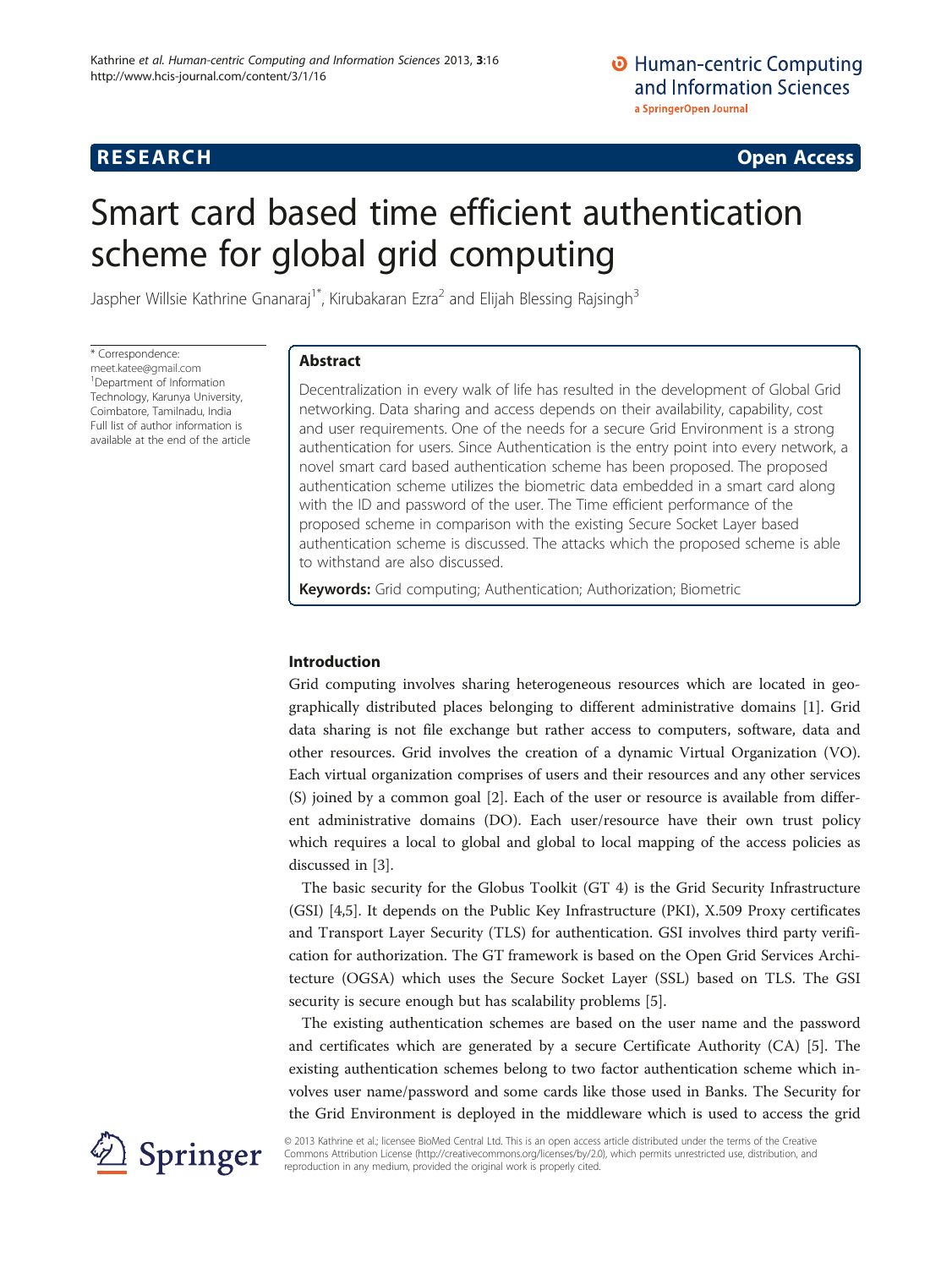# **RESEARCH RESEARCH CONSUMING ACCESS**

# Smart card based time efficient authentication scheme for global grid computing

Jaspher Willsie Kathrine Gnanaraj<sup>1\*</sup>, Kirubakaran Ezra<sup>2</sup> and Elijah Blessing Rajsingh<sup>3</sup>

\* Correspondence: [meet.katee@gmail.com](mailto:meet.katee@gmail.com) <sup>1</sup>Department of Information Technology, Karunya University, Coimbatore, Tamilnadu, India Full list of author information is available at the end of the article

# Abstract

Decentralization in every walk of life has resulted in the development of Global Grid networking. Data sharing and access depends on their availability, capability, cost and user requirements. One of the needs for a secure Grid Environment is a strong authentication for users. Since Authentication is the entry point into every network, a novel smart card based authentication scheme has been proposed. The proposed authentication scheme utilizes the biometric data embedded in a smart card along with the ID and password of the user. The Time efficient performance of the proposed scheme in comparison with the existing Secure Socket Layer based authentication scheme is discussed. The attacks which the proposed scheme is able to withstand are also discussed.

Keywords: Grid computing; Authentication; Authorization; Biometric

# Introduction

Grid computing involves sharing heterogeneous resources which are located in geographically distributed places belonging to different administrative domains [[1](#page-12-0)]. Grid data sharing is not file exchange but rather access to computers, software, data and other resources. Grid involves the creation of a dynamic Virtual Organization (VO). Each virtual organization comprises of users and their resources and any other services (S) joined by a common goal [[2](#page-12-0)]. Each of the user or resource is available from different administrative domains (DO). Each user/resource have their own trust policy which requires a local to global and global to local mapping of the access policies as discussed in [\[3](#page-12-0)].

The basic security for the Globus Toolkit (GT 4) is the Grid Security Infrastructure (GSI) [\[4,5](#page-12-0)]. It depends on the Public Key Infrastructure (PKI), X.509 Proxy certificates and Transport Layer Security (TLS) for authentication. GSI involves third party verification for authorization. The GT framework is based on the Open Grid Services Architecture (OGSA) which uses the Secure Socket Layer (SSL) based on TLS. The GSI security is secure enough but has scalability problems [[5\]](#page-12-0).

The existing authentication schemes are based on the user name and the password and certificates which are generated by a secure Certificate Authority (CA) [[5\]](#page-12-0). The existing authentication schemes belong to two factor authentication scheme which involves user name/password and some cards like those used in Banks. The Security for the Grid Environment is deployed in the middleware which is used to access the grid



© 2013 Kathrine et al.; licensee BioMed Central Ltd. This is an open access article distributed under the terms of the Creative Commons Attribution License (<http://creativecommons.org/licenses/by/2.0>), which permits unrestricted use, distribution, and reproduction in any medium, provided the original work is properly cited.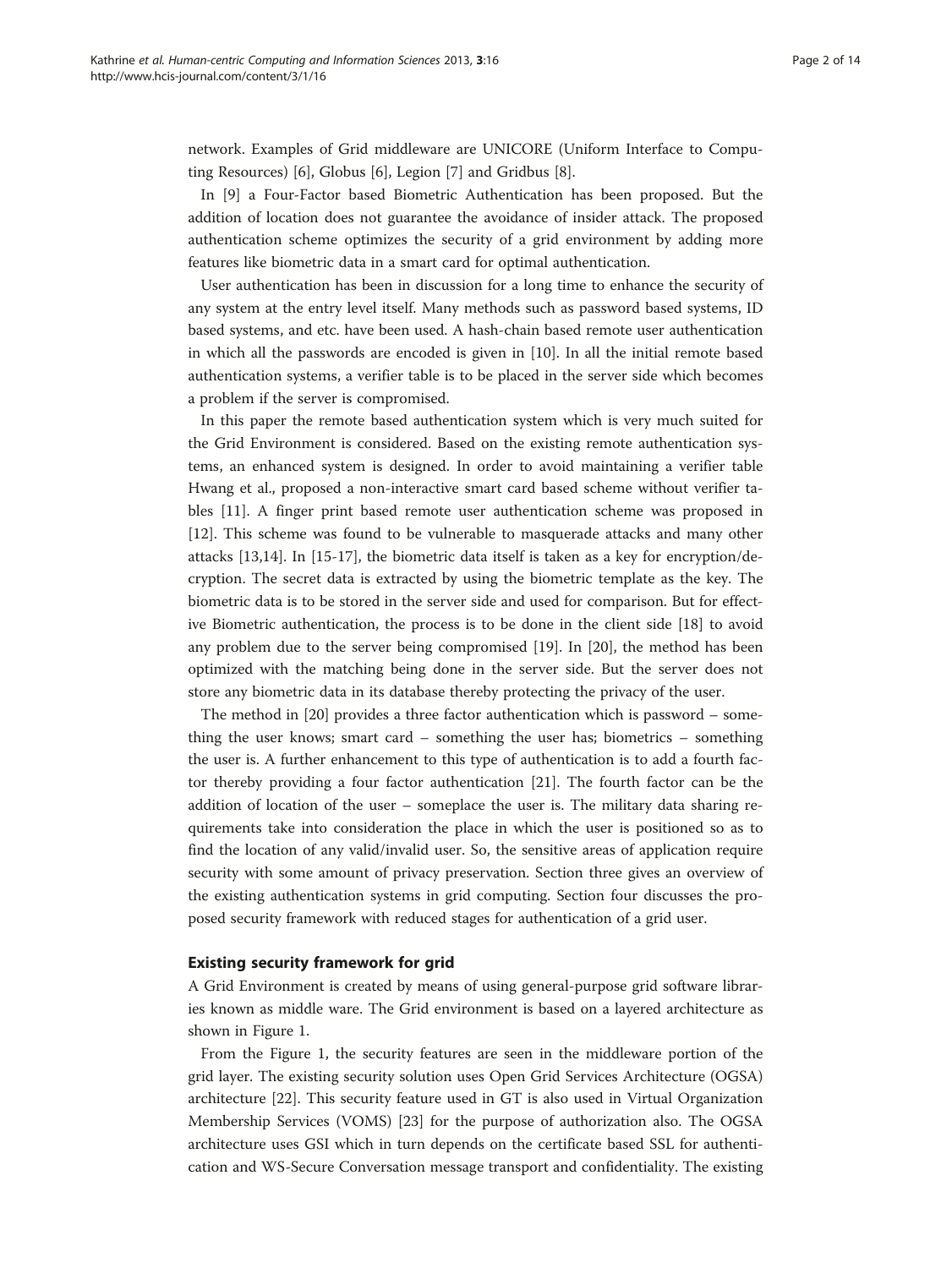network. Examples of Grid middleware are UNICORE (Uniform Interface to Computing Resources) [[6\]](#page-13-0), Globus [\[6\]](#page-13-0), Legion [[7\]](#page-13-0) and Gridbus [\[8\]](#page-13-0).

In [[9](#page-13-0)] a Four-Factor based Biometric Authentication has been proposed. But the addition of location does not guarantee the avoidance of insider attack. The proposed authentication scheme optimizes the security of a grid environment by adding more features like biometric data in a smart card for optimal authentication.

User authentication has been in discussion for a long time to enhance the security of any system at the entry level itself. Many methods such as password based systems, ID based systems, and etc. have been used. A hash-chain based remote user authentication in which all the passwords are encoded is given in [\[10\]](#page-13-0). In all the initial remote based authentication systems, a verifier table is to be placed in the server side which becomes a problem if the server is compromised.

In this paper the remote based authentication system which is very much suited for the Grid Environment is considered. Based on the existing remote authentication systems, an enhanced system is designed. In order to avoid maintaining a verifier table Hwang et al., proposed a non-interactive smart card based scheme without verifier tables [\[11](#page-13-0)]. A finger print based remote user authentication scheme was proposed in [[12\]](#page-13-0). This scheme was found to be vulnerable to masquerade attacks and many other attacks [\[13,14](#page-13-0)]. In [[15-17](#page-13-0)], the biometric data itself is taken as a key for encryption/decryption. The secret data is extracted by using the biometric template as the key. The biometric data is to be stored in the server side and used for comparison. But for effective Biometric authentication, the process is to be done in the client side [\[18](#page-13-0)] to avoid any problem due to the server being compromised [[19\]](#page-13-0). In [[20\]](#page-13-0), the method has been optimized with the matching being done in the server side. But the server does not store any biometric data in its database thereby protecting the privacy of the user.

The method in [\[20\]](#page-13-0) provides a three factor authentication which is password – something the user knows; smart card – something the user has; biometrics – something the user is. A further enhancement to this type of authentication is to add a fourth factor thereby providing a four factor authentication [\[21](#page-13-0)]. The fourth factor can be the addition of location of the user – someplace the user is. The military data sharing requirements take into consideration the place in which the user is positioned so as to find the location of any valid/invalid user. So, the sensitive areas of application require security with some amount of privacy preservation. Section three gives an overview of the existing authentication systems in grid computing. Section four discusses the proposed security framework with reduced stages for authentication of a grid user.

# Existing security framework for grid

A Grid Environment is created by means of using general-purpose grid software libraries known as middle ware. The Grid environment is based on a layered architecture as shown in Figure [1.](#page-2-0)

From the Figure [1,](#page-2-0) the security features are seen in the middleware portion of the grid layer. The existing security solution uses Open Grid Services Architecture (OGSA) architecture [\[22\]](#page-13-0). This security feature used in GT is also used in Virtual Organization Membership Services (VOMS) [\[23](#page-13-0)] for the purpose of authorization also. The OGSA architecture uses GSI which in turn depends on the certificate based SSL for authentication and WS-Secure Conversation message transport and confidentiality. The existing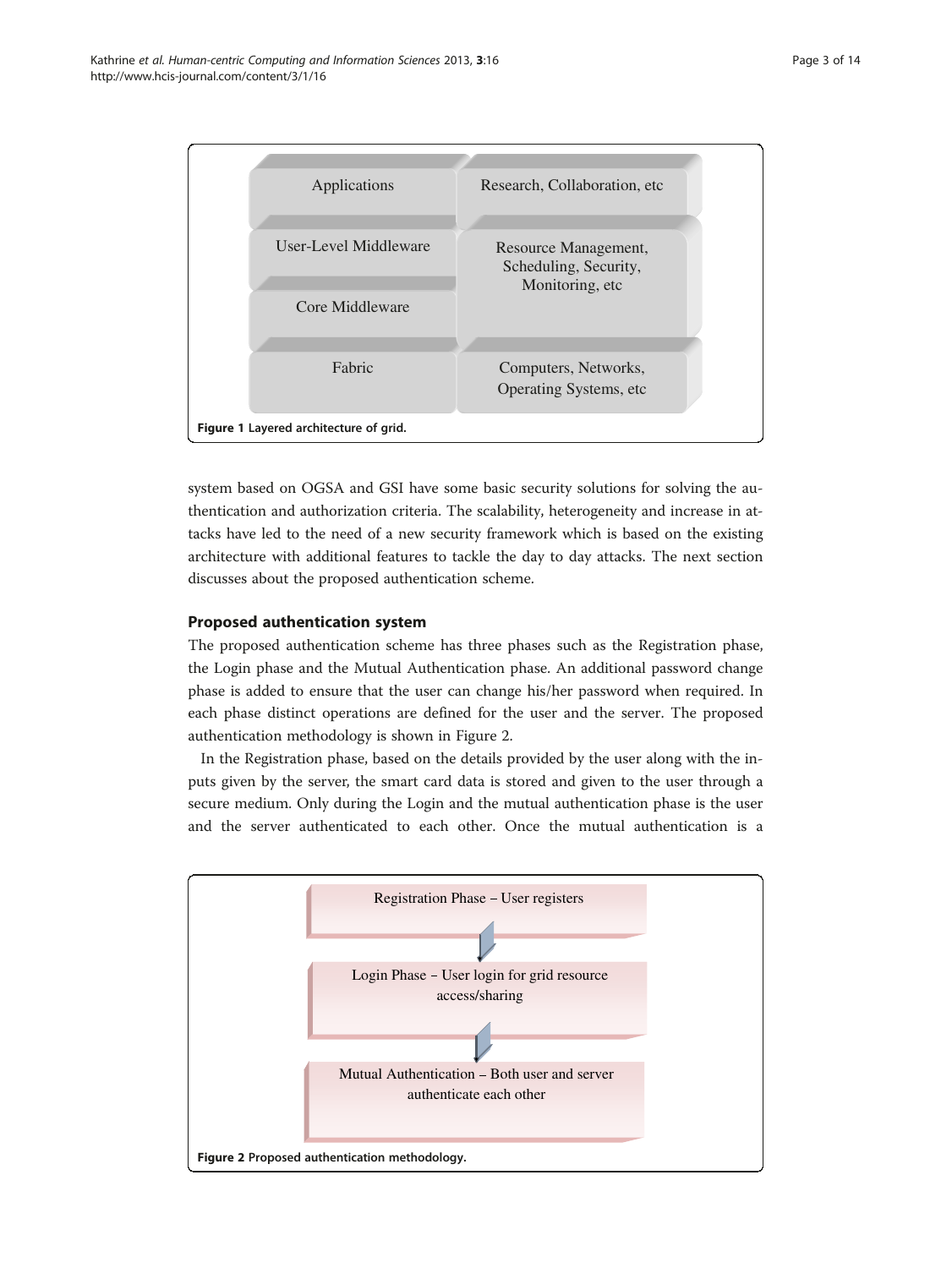<span id="page-2-0"></span>

system based on OGSA and GSI have some basic security solutions for solving the authentication and authorization criteria. The scalability, heterogeneity and increase in attacks have led to the need of a new security framework which is based on the existing architecture with additional features to tackle the day to day attacks. The next section discusses about the proposed authentication scheme.

# Proposed authentication system

The proposed authentication scheme has three phases such as the Registration phase, the Login phase and the Mutual Authentication phase. An additional password change phase is added to ensure that the user can change his/her password when required. In each phase distinct operations are defined for the user and the server. The proposed authentication methodology is shown in Figure 2.

In the Registration phase, based on the details provided by the user along with the inputs given by the server, the smart card data is stored and given to the user through a secure medium. Only during the Login and the mutual authentication phase is the user and the server authenticated to each other. Once the mutual authentication is a

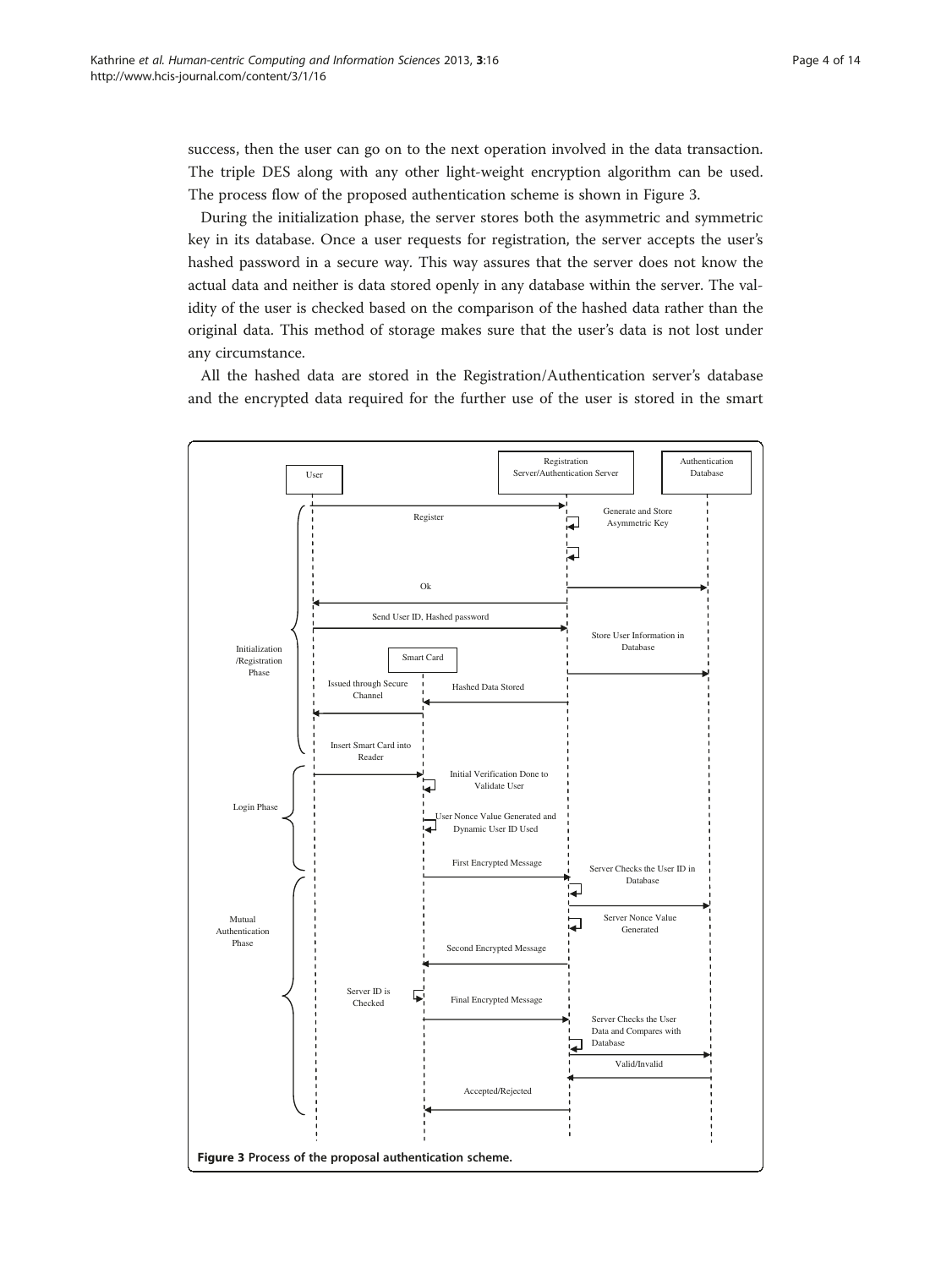success, then the user can go on to the next operation involved in the data transaction. The triple DES along with any other light-weight encryption algorithm can be used. The process flow of the proposed authentication scheme is shown in Figure 3.

During the initialization phase, the server stores both the asymmetric and symmetric key in its database. Once a user requests for registration, the server accepts the user's hashed password in a secure way. This way assures that the server does not know the actual data and neither is data stored openly in any database within the server. The validity of the user is checked based on the comparison of the hashed data rather than the original data. This method of storage makes sure that the user's data is not lost under any circumstance.

All the hashed data are stored in the Registration/Authentication server's database and the encrypted data required for the further use of the user is stored in the smart

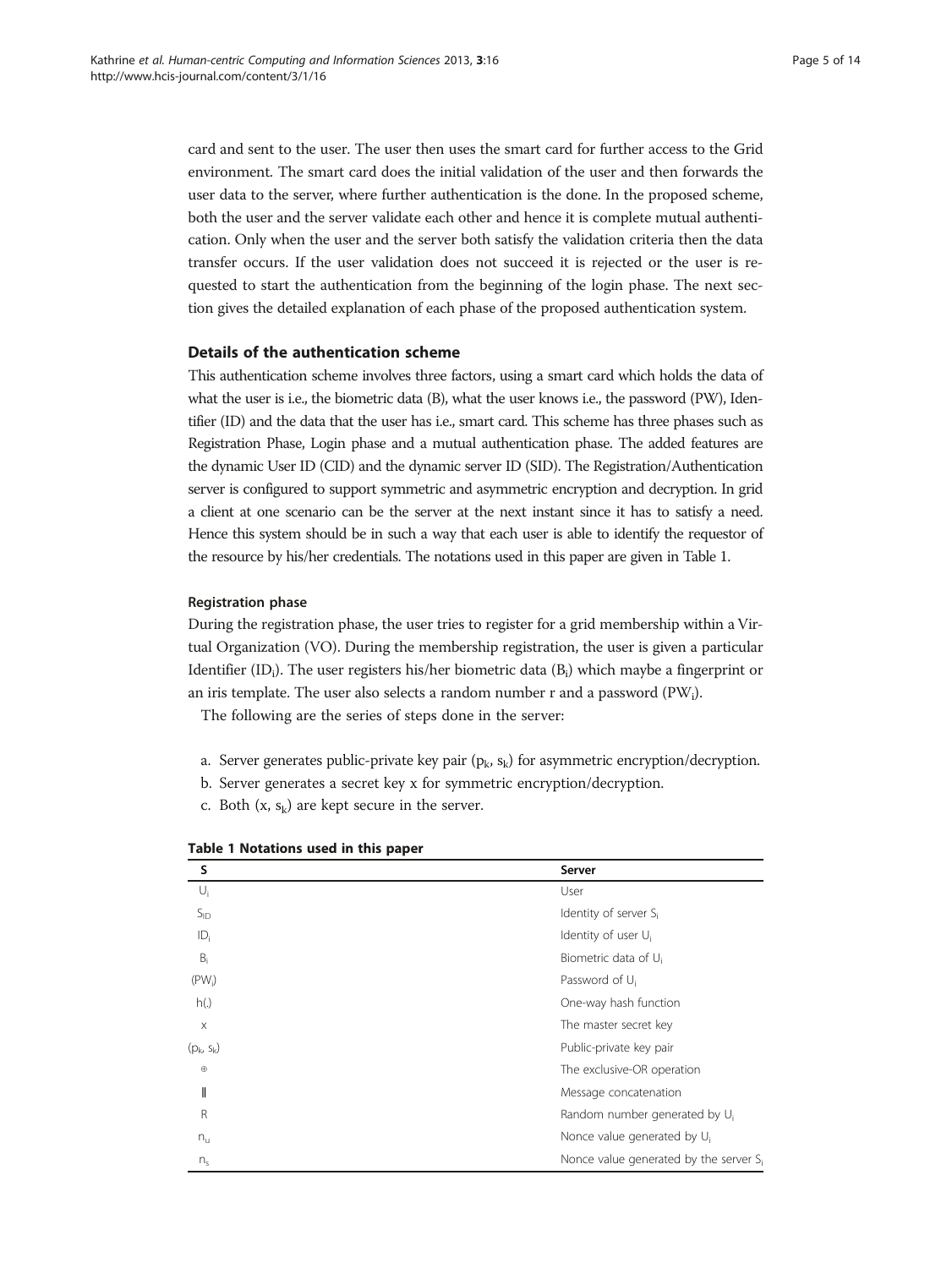card and sent to the user. The user then uses the smart card for further access to the Grid environment. The smart card does the initial validation of the user and then forwards the user data to the server, where further authentication is the done. In the proposed scheme, both the user and the server validate each other and hence it is complete mutual authentication. Only when the user and the server both satisfy the validation criteria then the data transfer occurs. If the user validation does not succeed it is rejected or the user is requested to start the authentication from the beginning of the login phase. The next section gives the detailed explanation of each phase of the proposed authentication system.

# Details of the authentication scheme

This authentication scheme involves three factors, using a smart card which holds the data of what the user is i.e., the biometric data (B), what the user knows i.e., the password (PW), Identifier (ID) and the data that the user has i.e., smart card. This scheme has three phases such as Registration Phase, Login phase and a mutual authentication phase. The added features are the dynamic User ID (CID) and the dynamic server ID (SID). The Registration/Authentication server is configured to support symmetric and asymmetric encryption and decryption. In grid a client at one scenario can be the server at the next instant since it has to satisfy a need. Hence this system should be in such a way that each user is able to identify the requestor of the resource by his/her credentials. The notations used in this paper are given in Table 1.

#### Registration phase

During the registration phase, the user tries to register for a grid membership within a Virtual Organization (VO). During the membership registration, the user is given a particular Identifier (ID<sub>i</sub>). The user registers his/her biometric data (B<sub>i</sub>) which maybe a fingerprint or an iris template. The user also selects a random number r and a password  $(\mathrm{PW}_\mathrm{i}).$ 

The following are the series of steps done in the server:

- a. Server generates public-private key pair  $(p_k, s_k)$  for asymmetric encryption/decryption.
- b. Server generates a secret key x for symmetric encryption/decryption.
- c. Both  $(x, s_k)$  are kept secure in the server.

| S                | Server                                             |
|------------------|----------------------------------------------------|
| $U_i$            | User                                               |
| $S_{ID}$         | Identity of server S <sub>i</sub>                  |
| $ID_i$           | Identity of user U <sub>i</sub>                    |
| $B_i$            | Biometric data of U <sub>i</sub>                   |
| $(PW_i)$         | Password of U <sub>i</sub>                         |
| h()              | One-way hash function                              |
| $\mathsf X$      | The master secret key                              |
| $(p_{k}, s_{k})$ | Public-private key pair                            |
| $\oplus$         | The exclusive-OR operation                         |
| II               | Message concatenation                              |
| R                | Random number generated by U <sub>i</sub>          |
| $n_{u}$          | Nonce value generated by U <sub>i</sub>            |
| $n_{s}$          | Nonce value generated by the server S <sub>i</sub> |

Table 1 Notations used in this paper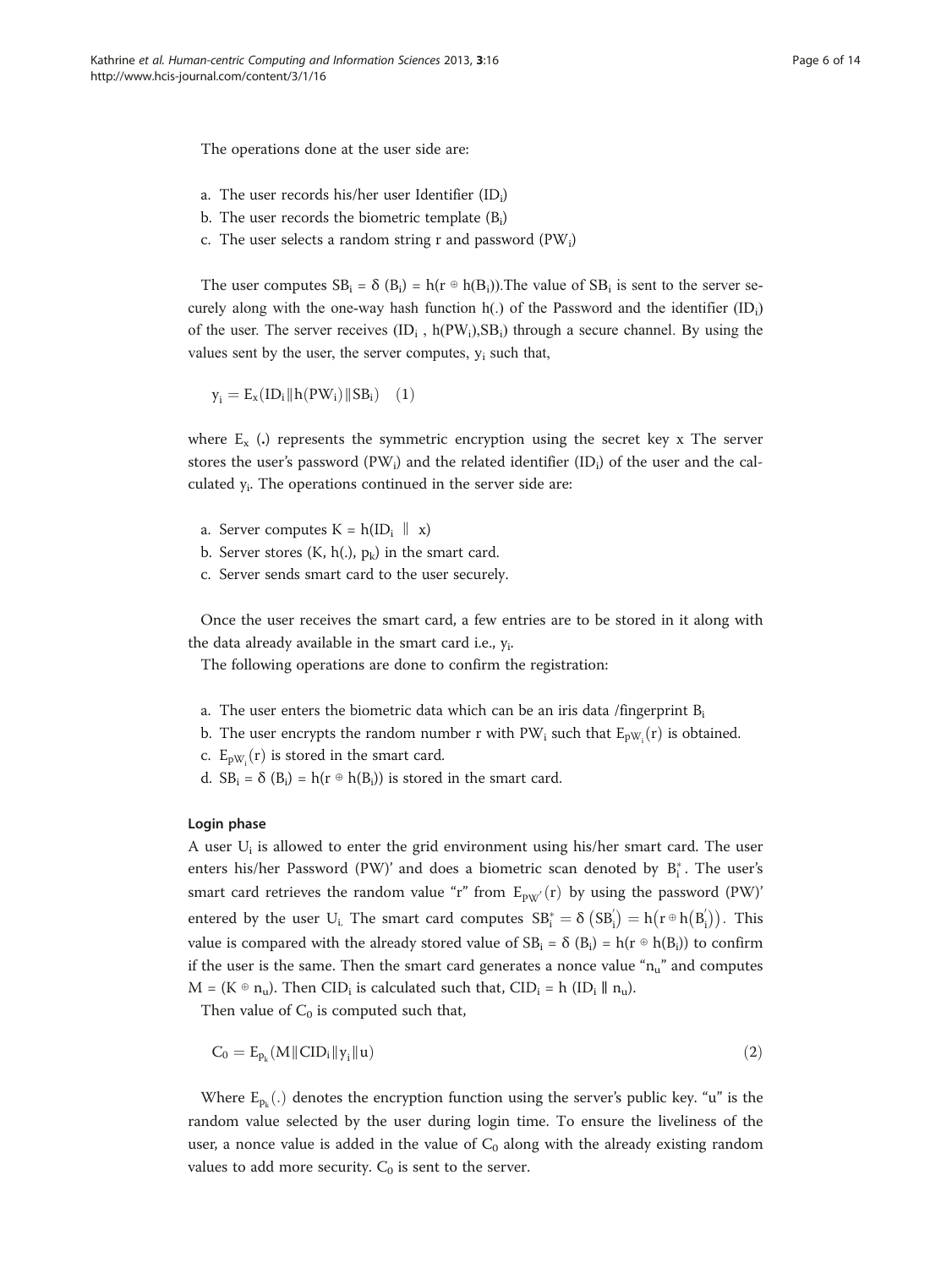<span id="page-5-0"></span>The operations done at the user side are:

- a. The user records his/her user Identifier (ID<sub>i</sub>)
- b. The user records the biometric template  $(B_i)$
- c. The user selects a random string r and password  $(PW_i)$

The user computes  $SB_i = \delta(B_i) = h(r \oplus h(B_i))$ . The value of  $SB_i$  is sent to the server securely along with the one-way hash function  $h(.)$  of the Password and the identifier  $(ID_i)$ of the user. The server receives  $(ID_i, h(PW_i), SB_i)$  through a secure channel. By using the values sent by the user, the server computes,  $y_i$  such that,

 $y_i = E_x(ID_i || h(PW_i) || SB_i)$  (1)

where  $E_x$  (.) represents the symmetric encryption using the secret key x The server stores the user's password (PW<sub>i</sub>) and the related identifier (ID<sub>i</sub>) of the user and the calculated  $y_i$ . The operations continued in the server side are:

- a. Server computes  $K = h(ID_i \parallel x)$
- b. Server stores  $(K, h(.), p_k)$  in the smart card.
- c. Server sends smart card to the user securely.

Once the user receives the smart card, a few entries are to be stored in it along with the data already available in the smart card i.e.,  $y_i$ .

The following operations are done to confirm the registration:

- a. The user enters the biometric data which can be an iris data /fingerprint  $B_i$
- b. The user encrypts the random number r with PW<sub>i</sub> such that  $\text{E}_{\text{pW}_{\text{i}}}(\text{r})$  is obtained.
- c.  $E_{pW_i}(r)$  is stored in the smart card.
- d.  $SB_i = \delta(B_i) = h(r \oplus h(B_i))$  is stored in the smart card.

#### Login phase

A user  $U_i$  is allowed to enter the grid environment using his/her smart card. The user enters his/her Password (PW)' and does a biometric scan denoted by  $B_i^*$ . The user's smart card retrieves the random value "r" from  $E_{pW}(r)$  by using the password (PW)' entered by the user U<sub>i.</sub> The smart card computes  $SB_i^* = \delta(SB_i') = h(r \oplus h(B_i'))$ . This value is compared with the already stored value of  $SB_i = \delta(B_i) = h(r \oplus h(B_i))$  to confirm if the user is the same. Then the smart card generates a nonce value " $n_u$ " and computes  $M = (K \oplus n_u)$ . Then CID<sub>i</sub> is calculated such that, CID<sub>i</sub> = h (ID<sub>i</sub> || n<sub>u</sub>).

Then value of  $C_0$  is computed such that,

$$
C_0 = E_{p_k}(M \| \text{CID}_i \| y_i \| u)
$$
\n<sup>(2)</sup>

Where  $E_{p_k}$ .) denotes the encryption function using the server's public key. "u" is the random value selected by the user during login time. To ensure the liveliness of the user, a nonce value is added in the value of  $C_0$  along with the already existing random values to add more security.  $C_0$  is sent to the server.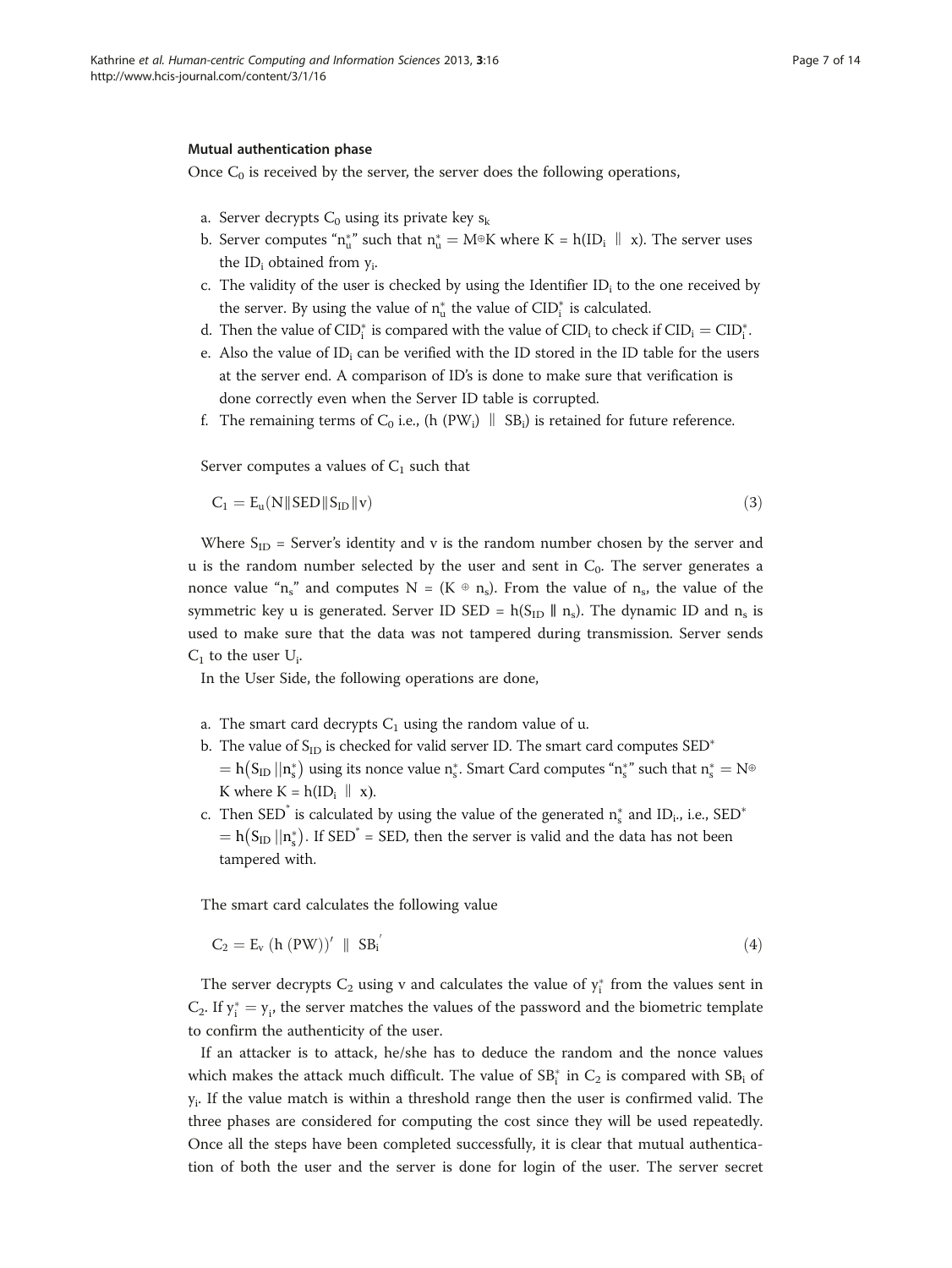#### <span id="page-6-0"></span>Mutual authentication phase

Once  $C_0$  is received by the server, the server does the following operations,

- a. Server decrypts  $C_0$  using its private key  $s_k$
- b. Server computes " $n_u^*$ " such that  $n_u^* = M \oplus K$  where  $K = h(ID_i \parallel x)$ . The server uses the  $ID_i$  obtained from  $y_i$ .
- c. The validity of the user is checked by using the Identifier ID<sub>i</sub> to the one received by the server. By using the value of  $n_u^*$  the value of  $\mathrm{CID}_\mathrm{i}^*$  is calculated.
- d. Then the value of  $\text{CID}_i^*$  is compared with the value of  $\text{CID}_i$  to check if  $\text{CID}_i = \text{CID}_i^*.$
- e. Also the value of ID<sub>i</sub> can be verified with the ID stored in the ID table for the users at the server end. A comparison of ID's is done to make sure that verification is done correctly even when the Server ID table is corrupted.
- f. The remaining terms of  $C_0$  i.e., (h (PW<sub>i</sub>)  $\parallel$  SB<sub>i</sub>) is retained for future reference.

Server computes a values of  $C_1$  such that

$$
C_1 = E_u(N \| \text{SED} \| S_{ID} \| v)
$$
\n(3)

Where  $S_{ID}$  = Server's identity and v is the random number chosen by the server and u is the random number selected by the user and sent in  $C_0$ . The server generates a nonce value " $n_s$ " and computes N = (K ⊕  $n_s$ ). From the value of  $n_s$ , the value of the symmetric key u is generated. Server ID SED =  $h(S_{ID} \parallel n_s)$ . The dynamic ID and  $n_s$  is used to make sure that the data was not tampered during transmission. Server sends  $C_1$  to the user  $U_i$ .

In the User Side, the following operations are done,

- a. The smart card decrypts  $C_1$  using the random value of u.
- b. The value of  $\mathrm{S_{ID}}$  is checked for valid server ID. The smart card computes  $\mathrm{SED}^*$  $= h(S_{\text{ID}} || n_s^*)$  using its nonce value  $n_s^*$ . Smart Card computes " $n_s^*$ " such that  $n_s^* = N^{\oplus}$ K where  $K = h(ID_i \parallel x)$ .
- c. Then SED<sup>\*</sup> is calculated by using the value of the generated  $n_s^*$  and ID<sub>i</sub>., i.e., SED<sup>\*</sup>  $= h(S_{ID} || n_s^*)$ . If SED<sup>\*</sup> = SED, then the server is valid and the data has not been tampered with.

The smart card calculates the following value

$$
C_2 = E_v (h (PW))' || SB'_i
$$
 (4)

The server decrypts  $C_2$  using v and calculates the value of  $y_i^*$  from the values sent in  $C_2$ . If  $y_i^* = y_i$ , the server matches the values of the password and the biometric template to confirm the authenticity of the user.

If an attacker is to attack, he/she has to deduce the random and the nonce values which makes the attack much difficult. The value of  $SB<sub>i</sub><sup>*</sup>$  in  $C<sub>2</sub>$  is compared with  $SB<sub>i</sub>$  of  $y_i$ . If the value match is within a threshold range then the user is confirmed valid. The three phases are considered for computing the cost since they will be used repeatedly. Once all the steps have been completed successfully, it is clear that mutual authentication of both the user and the server is done for login of the user. The server secret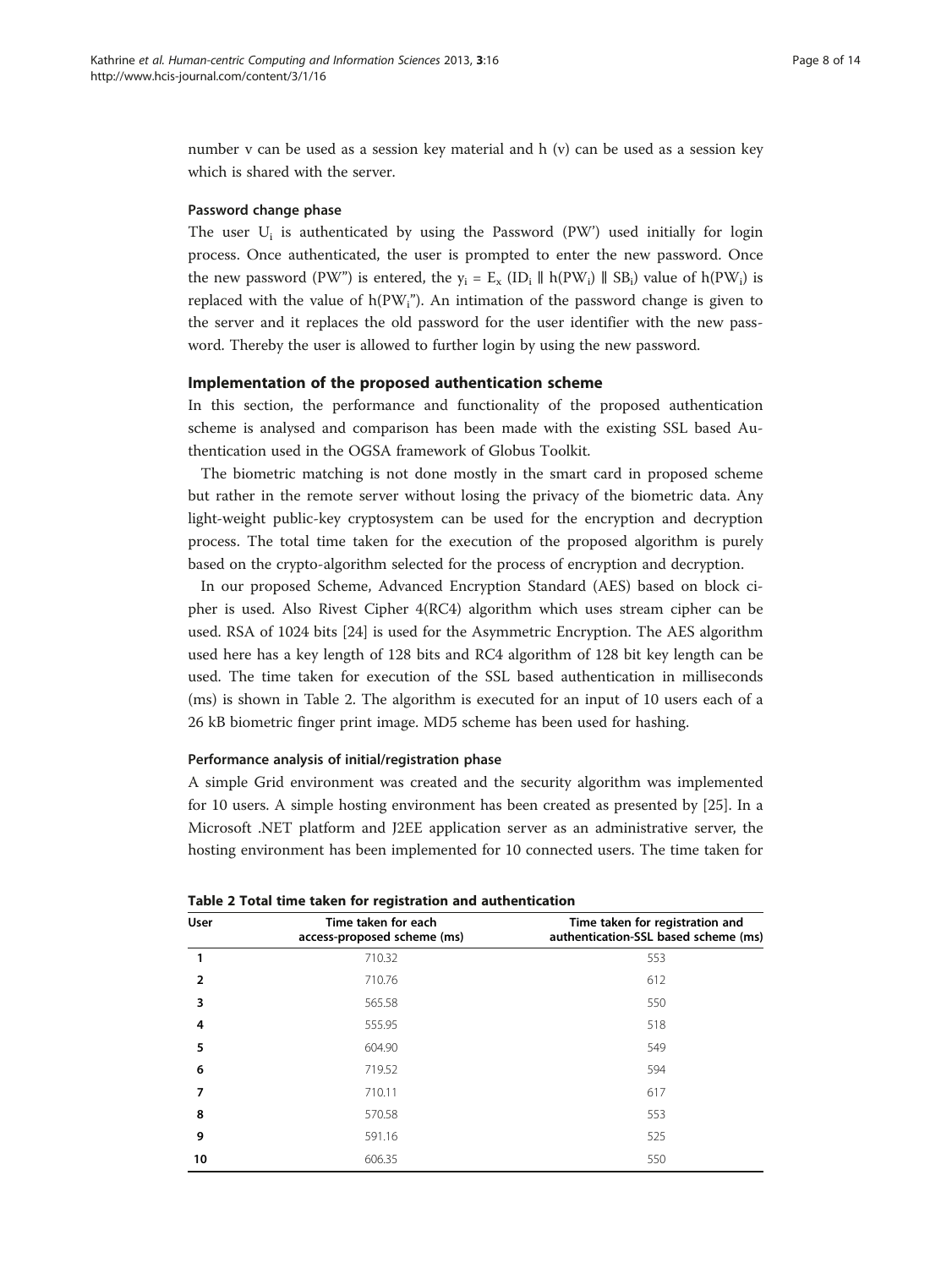<span id="page-7-0"></span>number v can be used as a session key material and h (v) can be used as a session key which is shared with the server.

## Password change phase

The user  $U_i$  is authenticated by using the Password (PW') used initially for login process. Once authenticated, the user is prompted to enter the new password. Once the new password (PW") is entered, the  $y_i = E_x$  (ID<sub>i</sub> || h(PW<sub>i</sub>) || SB<sub>i</sub>) value of h(PW<sub>i</sub>) is replaced with the value of  $h(PW_i'')$ . An intimation of the password change is given to the server and it replaces the old password for the user identifier with the new password. Thereby the user is allowed to further login by using the new password.

# Implementation of the proposed authentication scheme

In this section, the performance and functionality of the proposed authentication scheme is analysed and comparison has been made with the existing SSL based Authentication used in the OGSA framework of Globus Toolkit.

The biometric matching is not done mostly in the smart card in proposed scheme but rather in the remote server without losing the privacy of the biometric data. Any light-weight public-key cryptosystem can be used for the encryption and decryption process. The total time taken for the execution of the proposed algorithm is purely based on the crypto-algorithm selected for the process of encryption and decryption.

In our proposed Scheme, Advanced Encryption Standard (AES) based on block cipher is used. Also Rivest Cipher 4(RC4) algorithm which uses stream cipher can be used. RSA of 1024 bits [\[24](#page-13-0)] is used for the Asymmetric Encryption. The AES algorithm used here has a key length of 128 bits and RC4 algorithm of 128 bit key length can be used. The time taken for execution of the SSL based authentication in milliseconds (ms) is shown in Table 2. The algorithm is executed for an input of 10 users each of a 26 kB biometric finger print image. MD5 scheme has been used for hashing.

#### Performance analysis of initial/registration phase

A simple Grid environment was created and the security algorithm was implemented for 10 users. A simple hosting environment has been created as presented by [[25\]](#page-13-0). In a Microsoft .NET platform and J2EE application server as an administrative server, the hosting environment has been implemented for 10 connected users. The time taken for

| <b>User</b>    | Time taken for each<br>access-proposed scheme (ms) | Time taken for registration and<br>authentication-SSL based scheme (ms) |
|----------------|----------------------------------------------------|-------------------------------------------------------------------------|
| 1              | 710.32                                             | 553                                                                     |
| $\overline{2}$ | 710.76                                             | 612                                                                     |
| 3              | 565.58                                             | 550                                                                     |
| 4              | 555.95                                             | 518                                                                     |
| 5              | 604.90                                             | 549                                                                     |
| 6              | 719.52                                             | 594                                                                     |
| 7              | 710.11                                             | 617                                                                     |
| 8              | 570.58                                             | 553                                                                     |
| 9              | 591.16                                             | 525                                                                     |
| 10             | 606.35                                             | 550                                                                     |
|                |                                                    |                                                                         |

Table 2 Total time taken for registration and authentication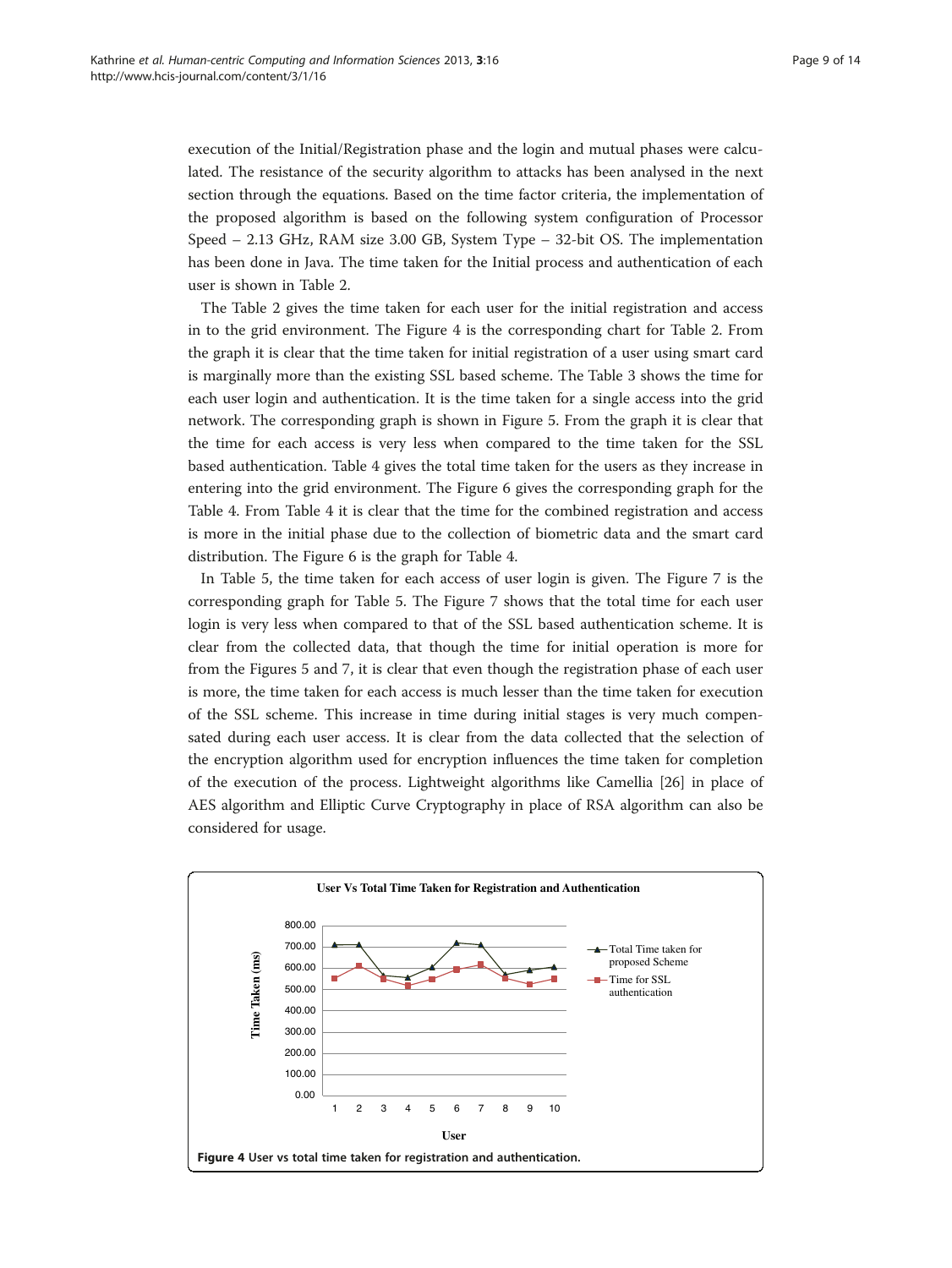execution of the Initial/Registration phase and the login and mutual phases were calculated. The resistance of the security algorithm to attacks has been analysed in the next section through the equations. Based on the time factor criteria, the implementation of the proposed algorithm is based on the following system configuration of Processor Speed – 2.13 GHz, RAM size 3.00 GB, System Type – 32-bit OS. The implementation has been done in Java. The time taken for the Initial process and authentication of each user is shown in Table [2](#page-7-0).

The Table [2](#page-7-0) gives the time taken for each user for the initial registration and access in to the grid environment. The Figure 4 is the corresponding chart for Table [2.](#page-7-0) From the graph it is clear that the time taken for initial registration of a user using smart card is marginally more than the existing SSL based scheme. The Table [3](#page-9-0) shows the time for each user login and authentication. It is the time taken for a single access into the grid network. The corresponding graph is shown in Figure [5.](#page-9-0) From the graph it is clear that the time for each access is very less when compared to the time taken for the SSL based authentication. Table [4](#page-10-0) gives the total time taken for the users as they increase in entering into the grid environment. The Figure [6](#page-10-0) gives the corresponding graph for the Table [4.](#page-10-0) From Table [4](#page-10-0) it is clear that the time for the combined registration and access is more in the initial phase due to the collection of biometric data and the smart card distribution. The Figure [6](#page-10-0) is the graph for Table [4.](#page-10-0)

In Table [5](#page-11-0), the time taken for each access of user login is given. The Figure [7](#page-11-0) is the corresponding graph for Table [5](#page-11-0). The Figure [7](#page-11-0) shows that the total time for each user login is very less when compared to that of the SSL based authentication scheme. It is clear from the collected data, that though the time for initial operation is more for from the Figures [5](#page-9-0) and [7](#page-11-0), it is clear that even though the registration phase of each user is more, the time taken for each access is much lesser than the time taken for execution of the SSL scheme. This increase in time during initial stages is very much compensated during each user access. It is clear from the data collected that the selection of the encryption algorithm used for encryption influences the time taken for completion of the execution of the process. Lightweight algorithms like Camellia [[26\]](#page-13-0) in place of AES algorithm and Elliptic Curve Cryptography in place of RSA algorithm can also be considered for usage.

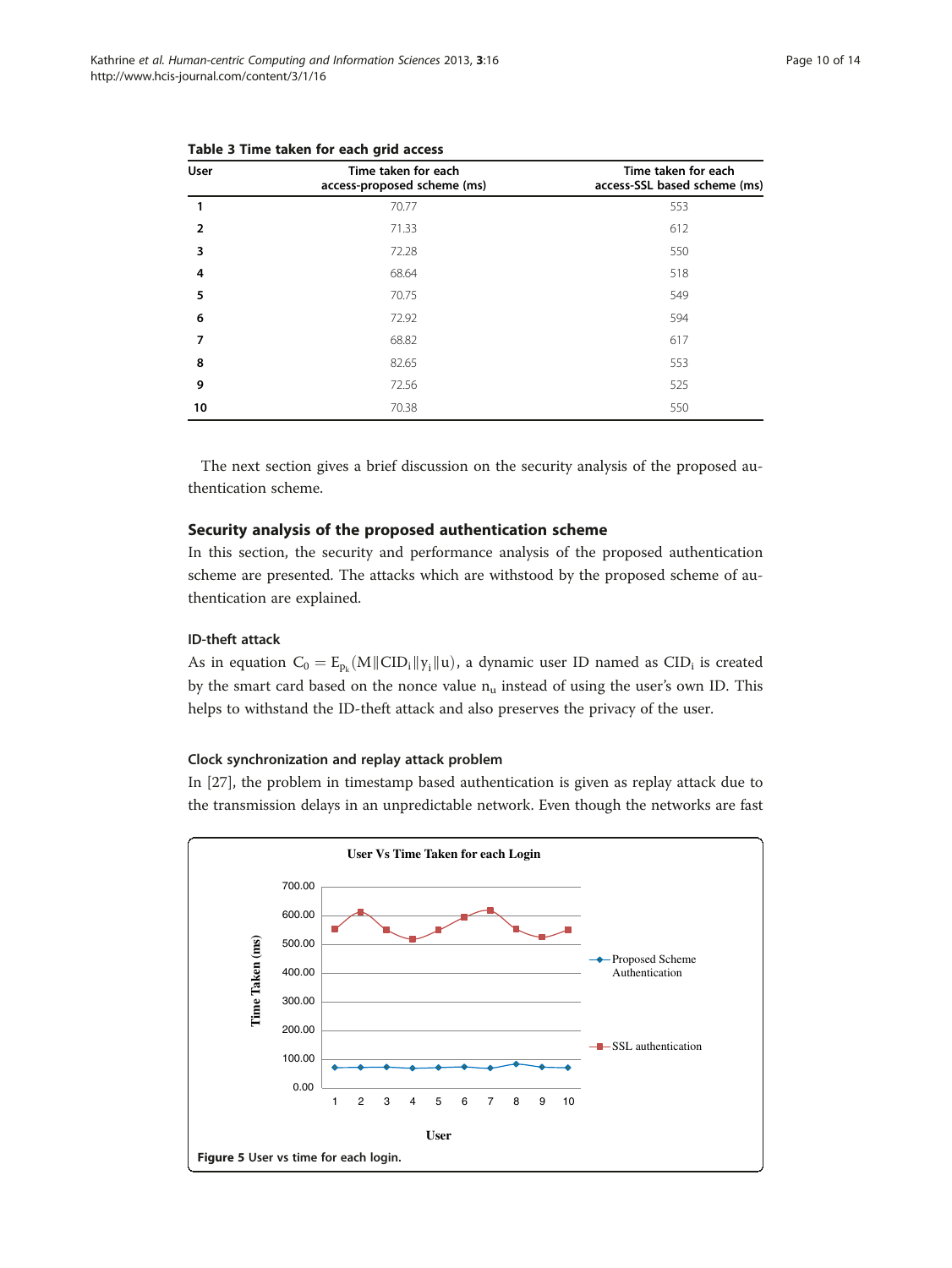| User           | Time taken for each<br>access-proposed scheme (ms) | Time taken for each<br>access-SSL based scheme (ms) |
|----------------|----------------------------------------------------|-----------------------------------------------------|
| 1              | 70.77                                              | 553                                                 |
| $\overline{2}$ | 71.33                                              | 612                                                 |
| 3              | 72.28                                              | 550                                                 |
| 4              | 68.64                                              | 518                                                 |
| 5              | 70.75                                              | 549                                                 |
| 6              | 72.92                                              | 594                                                 |
| 7              | 68.82                                              | 617                                                 |
| 8              | 82.65                                              | 553                                                 |
| 9              | 72.56                                              | 525                                                 |
| 10             | 70.38                                              | 550                                                 |
|                |                                                    |                                                     |

<span id="page-9-0"></span>

| Table 3 Time taken for each grid access |  |  |  |  |  |  |
|-----------------------------------------|--|--|--|--|--|--|
|-----------------------------------------|--|--|--|--|--|--|

The next section gives a brief discussion on the security analysis of the proposed authentication scheme.

# Security analysis of the proposed authentication scheme

In this section, the security and performance analysis of the proposed authentication scheme are presented. The attacks which are withstood by the proposed scheme of authentication are explained.

# ID-theft attack

As in equation  $C_0 = E_{p_k}(M \| CID_i \| y_i \| u)$ , a dynamic user ID named as  $CID_i$  is created by the smart card based on the nonce value  $n_u$  instead of using the user's own ID. This helps to withstand the ID-theft attack and also preserves the privacy of the user.

#### Clock synchronization and replay attack problem

In [[27](#page-13-0)], the problem in timestamp based authentication is given as replay attack due to the transmission delays in an unpredictable network. Even though the networks are fast

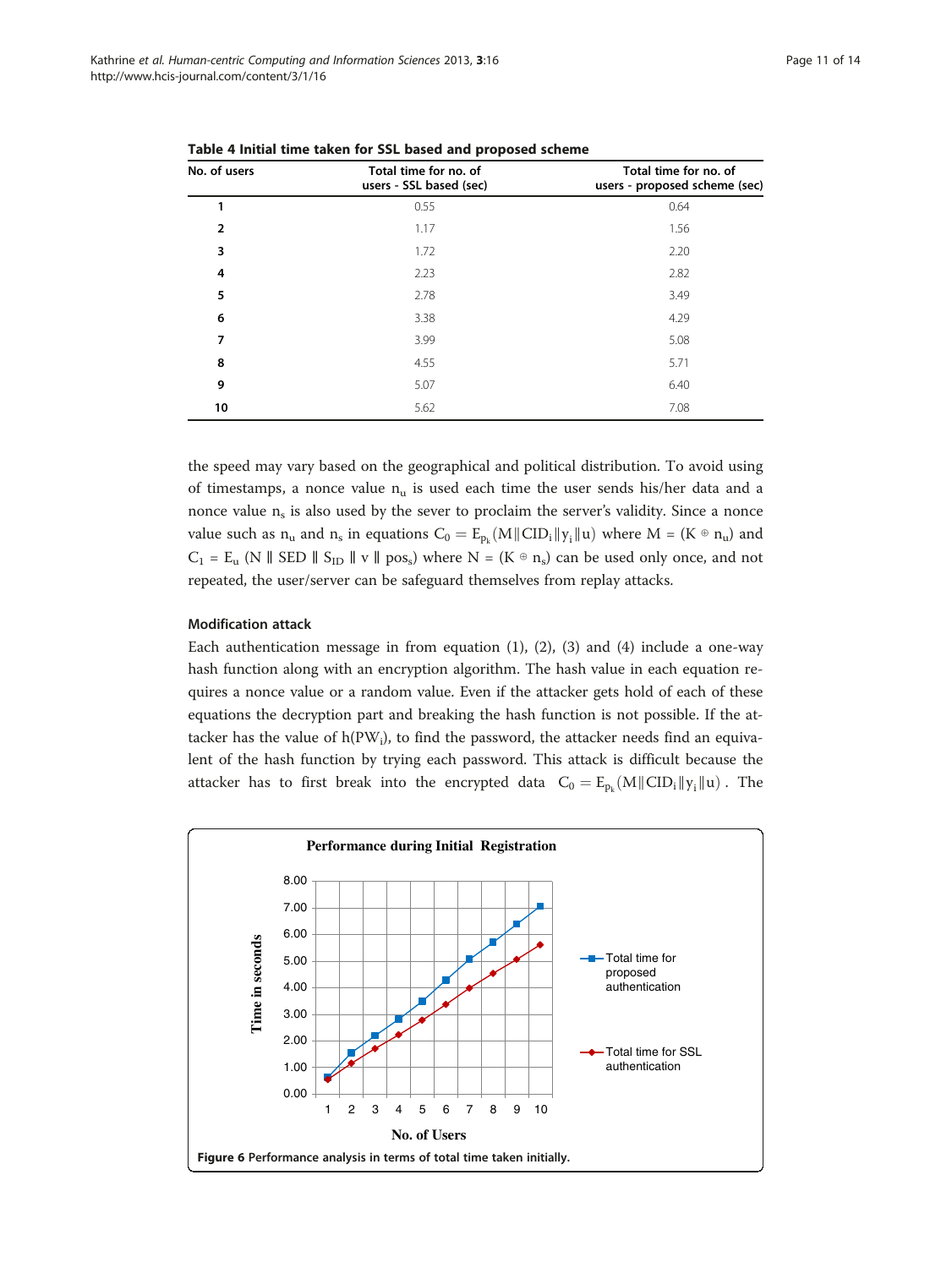| No. of users | Total time for no. of<br>users - SSL based (sec) | Total time for no. of<br>users - proposed scheme (sec) |
|--------------|--------------------------------------------------|--------------------------------------------------------|
|              | 0.55                                             | 0.64                                                   |
| 2            | 1.17                                             | 1.56                                                   |
| 3            | 1.72                                             | 2.20                                                   |
| 4            | 2.23                                             | 2.82                                                   |
| 5            | 2.78                                             | 3.49                                                   |
| 6            | 3.38                                             | 4.29                                                   |
| 7            | 3.99                                             | 5.08                                                   |
| 8            | 4.55                                             | 5.71                                                   |
| 9            | 5.07                                             | 6.40                                                   |
| 10           | 5.62                                             | 7.08                                                   |

<span id="page-10-0"></span>Table 4 Initial time taken for SSL based and proposed scheme

the speed may vary based on the geographical and political distribution. To avoid using of timestamps, a nonce value  $n_{\rm u}$  is used each time the user sends his/her data and a nonce value  $n_s$  is also used by the sever to proclaim the server's validity. Since a nonce value such as  $n_u$  and  $n_s$  in equations  $C_0 = E_{p_k}(M||CID_i||y_i||u)$  where  $M = (K \oplus n_u)$  and  $C_1 = E_u$  (N || SED || S<sub>ID</sub> || v || pos<sub>s</sub>) where N = (K ⊕ n<sub>s</sub>) can be used only once, and not repeated, the user/server can be safeguard themselves from replay attacks.

### Modification attack

Each authentication message in from equation  $(1)$  $(1)$ ,  $(2)$  $(2)$ ,  $(3)$  $(3)$  and  $(4)$  $(4)$  include a one-way hash function along with an encryption algorithm. The hash value in each equation requires a nonce value or a random value. Even if the attacker gets hold of each of these equations the decryption part and breaking the hash function is not possible. If the attacker has the value of  $h(PW_i)$ , to find the password, the attacker needs find an equivalent of the hash function by trying each password. This attack is difficult because the attacker has to first break into the encrypted data  $C_0 = E_{p_k}(M \| CID_i \| y_i \| u)$ . The

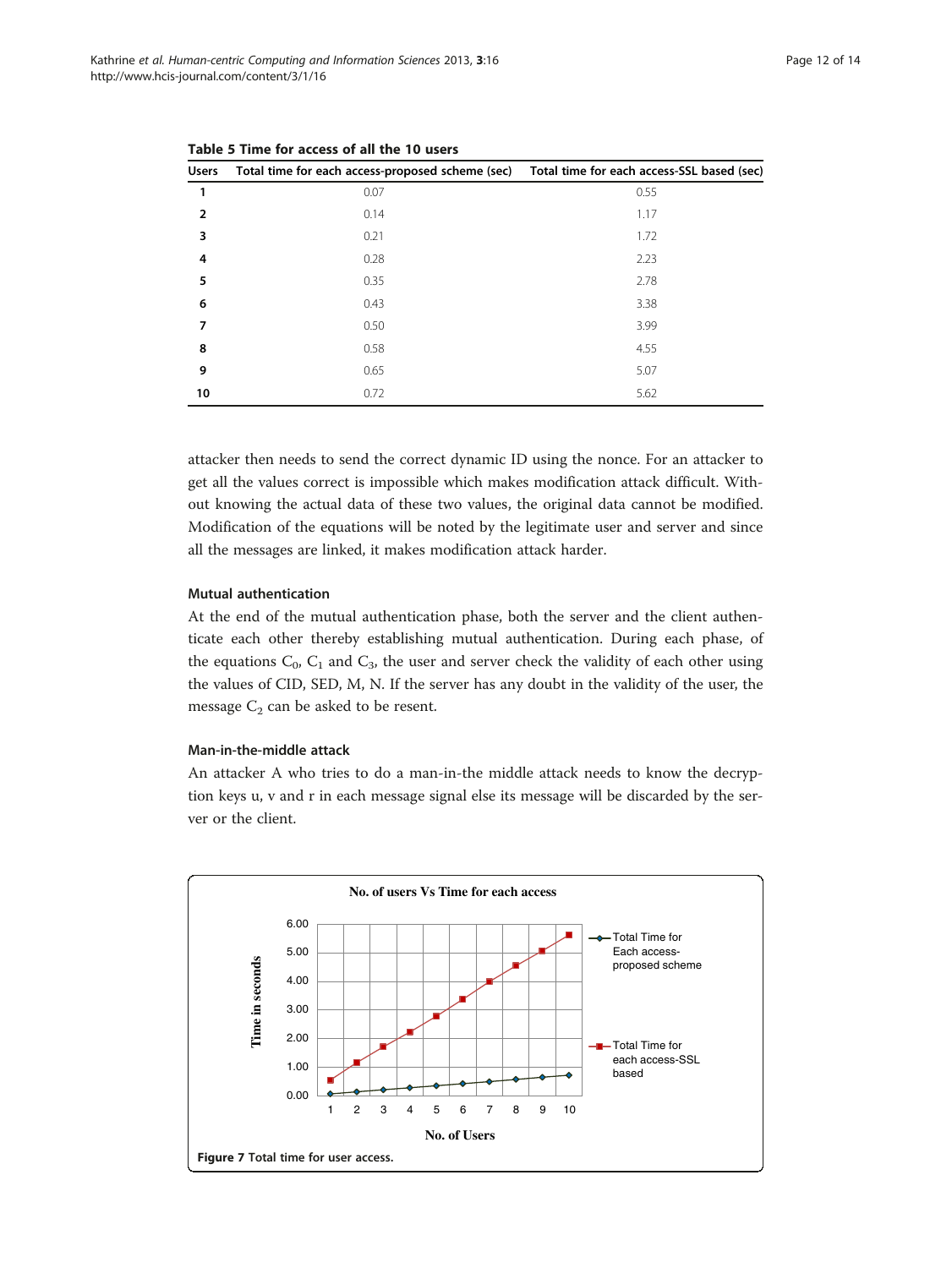| <b>Users</b>   | Total time for each access-proposed scheme (sec) Total time for each access-SSL based (sec) |      |
|----------------|---------------------------------------------------------------------------------------------|------|
|                | 0.07                                                                                        | 0.55 |
| $\overline{2}$ | 0.14                                                                                        | 1.17 |
| 3              | 0.21                                                                                        | 1.72 |
| 4              | 0.28                                                                                        | 2.23 |
| 5              | 0.35                                                                                        | 2.78 |
| 6              | 0.43                                                                                        | 3.38 |
|                | 0.50                                                                                        | 3.99 |
| 8              | 0.58                                                                                        | 4.55 |
| 9              | 0.65                                                                                        | 5.07 |
| 10             | 0.72                                                                                        | 5.62 |

<span id="page-11-0"></span>Table 5 Time for access of all the 10 users

attacker then needs to send the correct dynamic ID using the nonce. For an attacker to get all the values correct is impossible which makes modification attack difficult. Without knowing the actual data of these two values, the original data cannot be modified. Modification of the equations will be noted by the legitimate user and server and since all the messages are linked, it makes modification attack harder.

# Mutual authentication

At the end of the mutual authentication phase, both the server and the client authenticate each other thereby establishing mutual authentication. During each phase, of the equations  $C_0$ ,  $C_1$  and  $C_3$ , the user and server check the validity of each other using the values of CID, SED, M, N. If the server has any doubt in the validity of the user, the message  $C_2$  can be asked to be resent.

# Man-in-the-middle attack

An attacker A who tries to do a man-in-the middle attack needs to know the decryption keys u, v and r in each message signal else its message will be discarded by the server or the client.

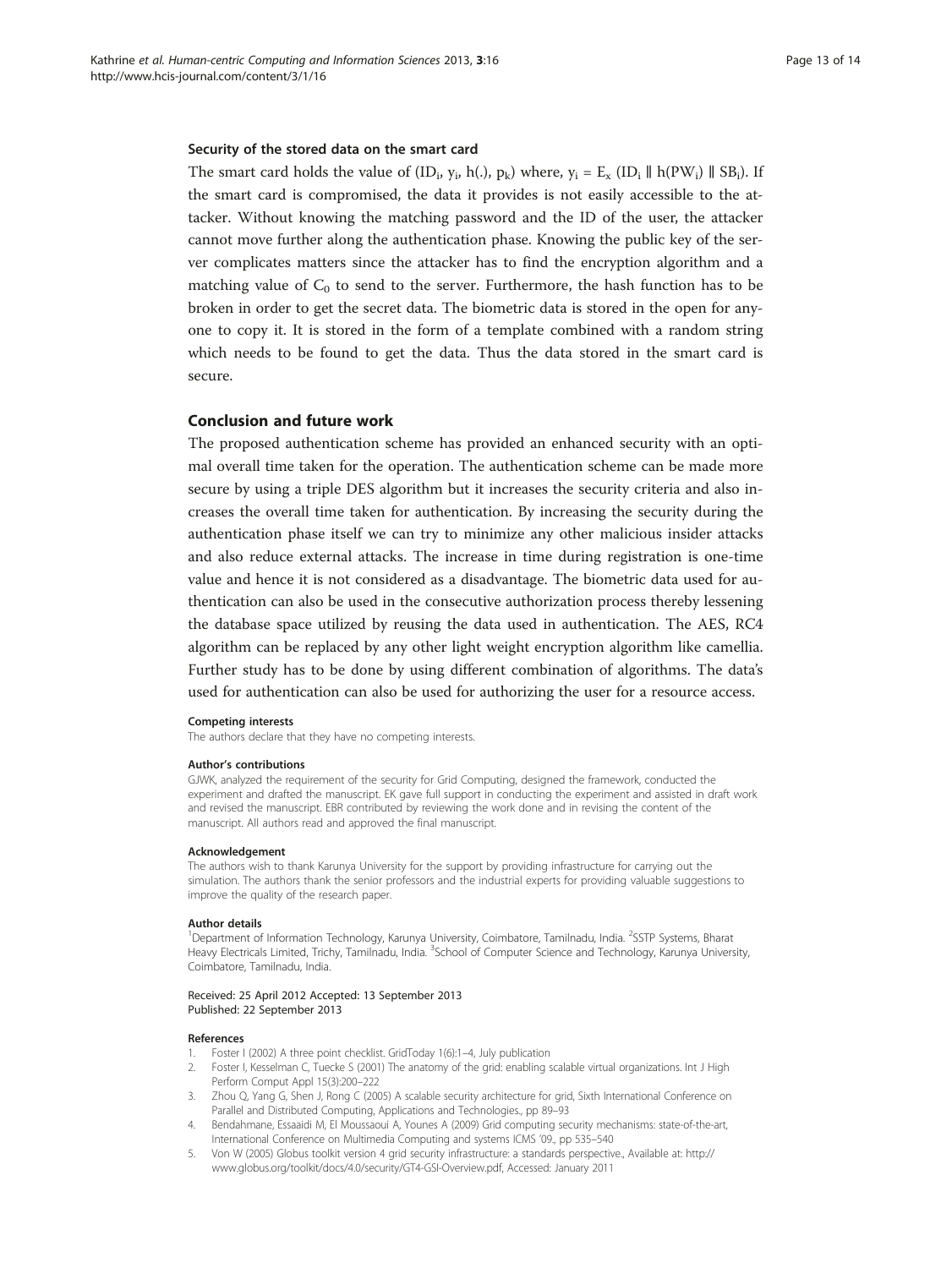#### <span id="page-12-0"></span>Security of the stored data on the smart card

The smart card holds the value of (ID<sub>i</sub>,  $y_i$ , h(.),  $p_k$ ) where,  $y_i = E_x (ID_i || h(PW_i) || SB_i)$ . If the smart card is compromised, the data it provides is not easily accessible to the attacker. Without knowing the matching password and the ID of the user, the attacker cannot move further along the authentication phase. Knowing the public key of the server complicates matters since the attacker has to find the encryption algorithm and a matching value of  $C_0$  to send to the server. Furthermore, the hash function has to be broken in order to get the secret data. The biometric data is stored in the open for anyone to copy it. It is stored in the form of a template combined with a random string which needs to be found to get the data. Thus the data stored in the smart card is secure.

# Conclusion and future work

The proposed authentication scheme has provided an enhanced security with an optimal overall time taken for the operation. The authentication scheme can be made more secure by using a triple DES algorithm but it increases the security criteria and also increases the overall time taken for authentication. By increasing the security during the authentication phase itself we can try to minimize any other malicious insider attacks and also reduce external attacks. The increase in time during registration is one-time value and hence it is not considered as a disadvantage. The biometric data used for authentication can also be used in the consecutive authorization process thereby lessening the database space utilized by reusing the data used in authentication. The AES, RC4 algorithm can be replaced by any other light weight encryption algorithm like camellia. Further study has to be done by using different combination of algorithms. The data's used for authentication can also be used for authorizing the user for a resource access.

#### Competing interests

The authors declare that they have no competing interests.

#### Author's contributions

GJWK, analyzed the requirement of the security for Grid Computing, designed the framework, conducted the experiment and drafted the manuscript. EK gave full support in conducting the experiment and assisted in draft work and revised the manuscript. EBR contributed by reviewing the work done and in revising the content of the manuscript. All authors read and approved the final manuscript.

#### Acknowledgement

The authors wish to thank Karunya University for the support by providing infrastructure for carrying out the simulation. The authors thank the senior professors and the industrial experts for providing valuable suggestions to improve the quality of the research paper.

#### Author details

<sup>1</sup>Department of Information Technology, Karunya University, Coimbatore, Tamilnadu, India. <sup>2</sup>SSTP Systems, Bharat Heavy Electricals Limited, Trichy, Tamilnadu, India. <sup>3</sup>School of Computer Science and Technology, Karunya University, Coimbatore, Tamilnadu, India.

#### Received: 25 April 2012 Accepted: 13 September 2013 Published: 22 September 2013

#### References

- 1. Foster I (2002) A three point checklist. GridToday 1(6):1–4, July publication
- 2. Foster I, Kesselman C, Tuecke S (2001) The anatomy of the grid: enabling scalable virtual organizations. Int J High Perform Comput Appl 15(3):200–222
- 3. Zhou Q, Yang G, Shen J, Rong C (2005) A scalable security architecture for grid, Sixth International Conference on Parallel and Distributed Computing, Applications and Technologies., pp 89–93
- 4. Bendahmane, Essaaidi M, El Moussaoui A, Younes A (2009) Grid computing security mechanisms: state-of-the-art, International Conference on Multimedia Computing and systems ICMS '09., pp 535–540
- 5. Von W (2005) Globus toolkit version 4 grid security infrastructure: a standards perspective., Available at: [http://](http://www.globus.org/toolkit/docs/4.0/security/GT4-GSI-Overview.pdf) [www.globus.org/toolkit/docs/4.0/security/GT4-GSI-Overview.pdf](http://www.globus.org/toolkit/docs/4.0/security/GT4-GSI-Overview.pdf), Accessed: January 2011